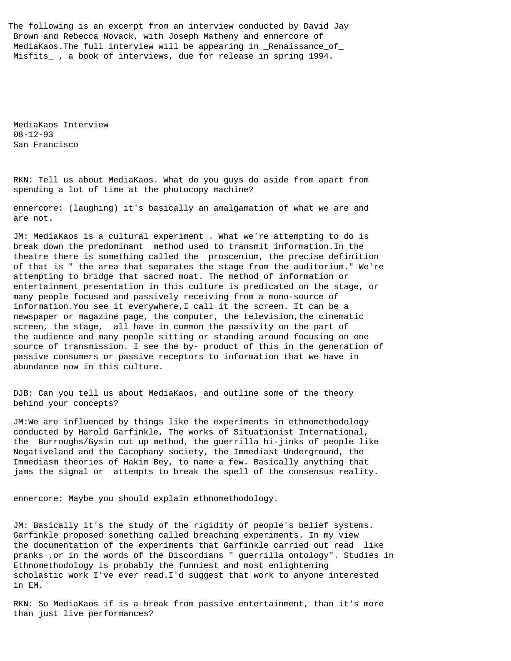The following is an excerpt from an interview conducted by David Jay Brown and Rebecca Novack, with Joseph Matheny and ennercore of MediaKaos.The full interview will be appearing in \_Renaissance\_of\_ Misfits\_ , a book of interviews, due for release in spring 1994.

 MediaKaos Interview 08-12-93 San Francisco

 RKN: Tell us about MediaKaos. What do you guys do aside from apart from spending a lot of time at the photocopy machine?

 ennercore: (laughing) it's basically an amalgamation of what we are and are not.

 JM: MediaKaos is a cultural experiment . What we're attempting to do is break down the predominant method used to transmit information.In the theatre there is something called the proscenium, the precise definition of that is " the area that separates the stage from the auditorium." We're attempting to bridge that sacred moat. The method of information or entertainment presentation in this culture is predicated on the stage, or many people focused and passively receiving from a mono-source of information.You see it everywhere,I call it the screen. It can be a newspaper or magazine page, the computer, the television,the cinematic screen, the stage, all have in common the passivity on the part of the audience and many people sitting or standing around focusing on one source of transmission. I see the by- product of this in the generation of passive consumers or passive receptors to information that we have in abundance now in this culture.

 DJB: Can you tell us about MediaKaos, and outline some of the theory behind your concepts?

 JM:We are influenced by things like the experiments in ethnomethodology conducted by Harold Garfinkle, The works of Situationist International, the Burroughs/Gysin cut up method, the guerrilla hi-jinks of people like Negativeland and the Cacophany society, the Immediast Underground, the Immediasm theories of Hakim Bey, to name a few. Basically anything that jams the signal or attempts to break the spell of the consensus reality.

ennercore: Maybe you should explain ethnomethodology.

 JM: Basically it's the study of the rigidity of people's belief systems. Garfinkle proposed something called breaching experiments. In my view the documentation of the experiments that Garfinkle carried out read like pranks ,or in the words of the Discordians " guerrilla ontology". Studies in Ethnomethodology is probably the funniest and most enlightening scholastic work I've ever read.I'd suggest that work to anyone interested in EM.

 RKN: So MediaKaos if is a break from passive entertainment, than it's more than just live performances?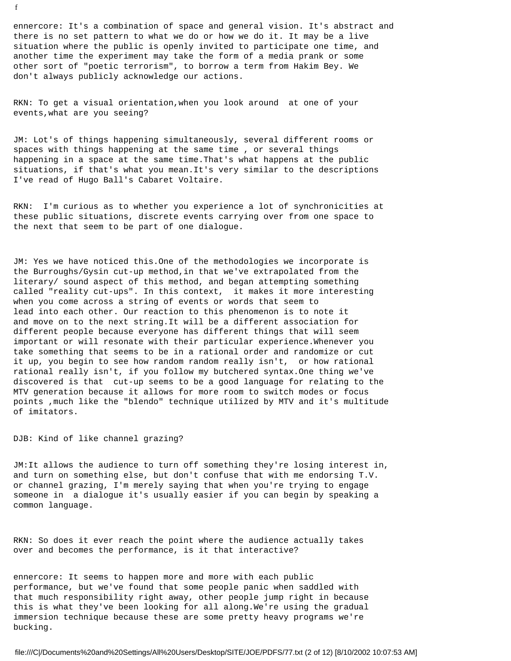ennercore: It's a combination of space and general vision. It's abstract and there is no set pattern to what we do or how we do it. It may be a live situation where the public is openly invited to participate one time, and another time the experiment may take the form of a media prank or some other sort of "poetic terrorism", to borrow a term from Hakim Bey. We don't always publicly acknowledge our actions.

 RKN: To get a visual orientation,when you look around at one of your events,what are you seeing?

 JM: Lot's of things happening simultaneously, several different rooms or spaces with things happening at the same time , or several things happening in a space at the same time.That's what happens at the public situations, if that's what you mean.It's very similar to the descriptions I've read of Hugo Ball's Cabaret Voltaire.

 RKN: I'm curious as to whether you experience a lot of synchronicities at these public situations, discrete events carrying over from one space to the next that seem to be part of one dialogue.

 JM: Yes we have noticed this.One of the methodologies we incorporate is the Burroughs/Gysin cut-up method,in that we've extrapolated from the literary/ sound aspect of this method, and began attempting something called "reality cut-ups". In this context, it makes it more interesting when you come across a string of events or words that seem to lead into each other. Our reaction to this phenomenon is to note it and move on to the next string.It will be a different association for different people because everyone has different things that will seem important or will resonate with their particular experience.Whenever you take something that seems to be in a rational order and randomize or cut it up, you begin to see how random random really isn't, or how rational rational really isn't, if you follow my butchered syntax.One thing we've discovered is that cut-up seems to be a good language for relating to the MTV generation because it allows for more room to switch modes or focus points ,much like the "blendo" technique utilized by MTV and it's multitude of imitators.

DJB: Kind of like channel grazing?

 JM:It allows the audience to turn off something they're losing interest in, and turn on something else, but don't confuse that with me endorsing T.V. or channel grazing, I'm merely saying that when you're trying to engage someone in a dialogue it's usually easier if you can begin by speaking a common language.

 RKN: So does it ever reach the point where the audience actually takes over and becomes the performance, is it that interactive?

 ennercore: It seems to happen more and more with each public performance, but we've found that some people panic when saddled with that much responsibility right away, other people jump right in because this is what they've been looking for all along.We're using the gradual immersion technique because these are some pretty heavy programs we're bucking.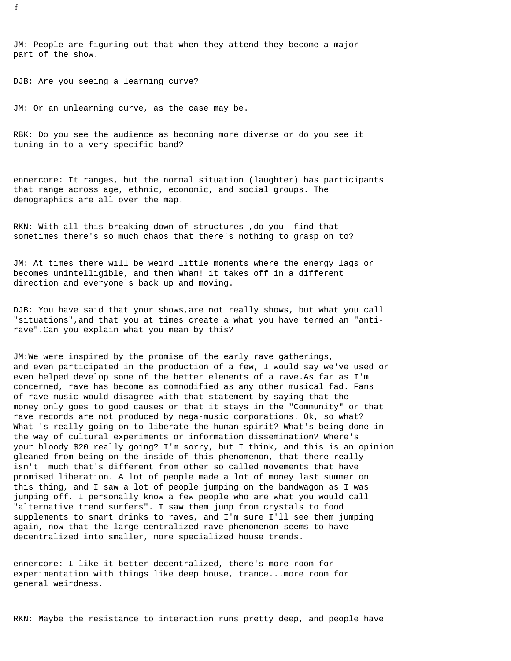JM: People are figuring out that when they attend they become a major part of the show.

DJB: Are you seeing a learning curve?

JM: Or an unlearning curve, as the case may be.

 RBK: Do you see the audience as becoming more diverse or do you see it tuning in to a very specific band?

 ennercore: It ranges, but the normal situation (laughter) has participants that range across age, ethnic, economic, and social groups. The demographics are all over the map.

 RKN: With all this breaking down of structures ,do you find that sometimes there's so much chaos that there's nothing to grasp on to?

 JM: At times there will be weird little moments where the energy lags or becomes unintelligible, and then Wham! it takes off in a different direction and everyone's back up and moving.

 DJB: You have said that your shows,are not really shows, but what you call "situations",and that you at times create a what you have termed an "anti rave".Can you explain what you mean by this?

 JM:We were inspired by the promise of the early rave gatherings, and even participated in the production of a few, I would say we've used or even helped develop some of the better elements of a rave.As far as I'm concerned, rave has become as commodified as any other musical fad. Fans of rave music would disagree with that statement by saying that the money only goes to good causes or that it stays in the "Community" or that rave records are not produced by mega-music corporations. Ok, so what? What 's really going on to liberate the human spirit? What's being done in the way of cultural experiments or information dissemination? Where's your bloody \$20 really going? I'm sorry, but I think, and this is an opinion gleaned from being on the inside of this phenomenon, that there really isn't much that's different from other so called movements that have promised liberation. A lot of people made a lot of money last summer on this thing, and I saw a lot of people jumping on the bandwagon as I was jumping off. I personally know a few people who are what you would call "alternative trend surfers". I saw them jump from crystals to food supplements to smart drinks to raves, and I'm sure I'll see them jumping again, now that the large centralized rave phenomenon seems to have decentralized into smaller, more specialized house trends.

 ennercore: I like it better decentralized, there's more room for experimentation with things like deep house, trance...more room for general weirdness.

RKN: Maybe the resistance to interaction runs pretty deep, and people have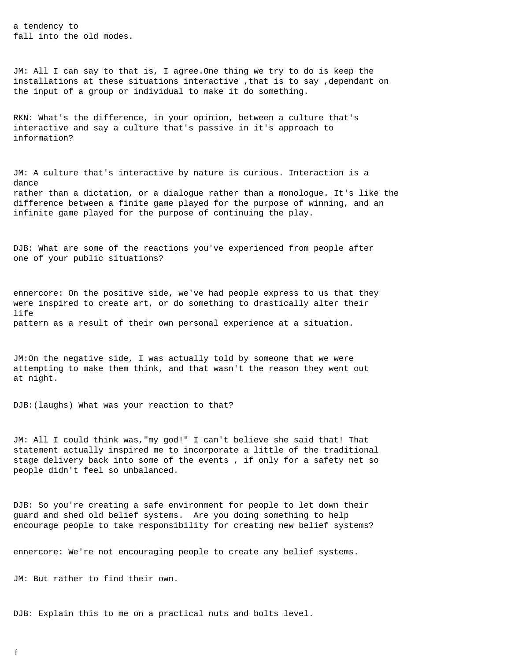a tendency to fall into the old modes.

 JM: All I can say to that is, I agree.One thing we try to do is keep the installations at these situations interactive ,that is to say ,dependant on the input of a group or individual to make it do something.

 RKN: What's the difference, in your opinion, between a culture that's interactive and say a culture that's passive in it's approach to information?

 JM: A culture that's interactive by nature is curious. Interaction is a dance rather than a dictation, or a dialogue rather than a monologue. It's like the difference between a finite game played for the purpose of winning, and an infinite game played for the purpose of continuing the play.

 DJB: What are some of the reactions you've experienced from people after one of your public situations?

 ennercore: On the positive side, we've had people express to us that they were inspired to create art, or do something to drastically alter their life pattern as a result of their own personal experience at a situation.

 JM:On the negative side, I was actually told by someone that we were attempting to make them think, and that wasn't the reason they went out at night.

DJB:(laughs) What was your reaction to that?

 JM: All I could think was,"my god!" I can't believe she said that! That statement actually inspired me to incorporate a little of the traditional stage delivery back into some of the events , if only for a safety net so people didn't feel so unbalanced.

 DJB: So you're creating a safe environment for people to let down their guard and shed old belief systems. Are you doing something to help encourage people to take responsibility for creating new belief systems?

ennercore: We're not encouraging people to create any belief systems.

JM: But rather to find their own.

DJB: Explain this to me on a practical nuts and bolts level.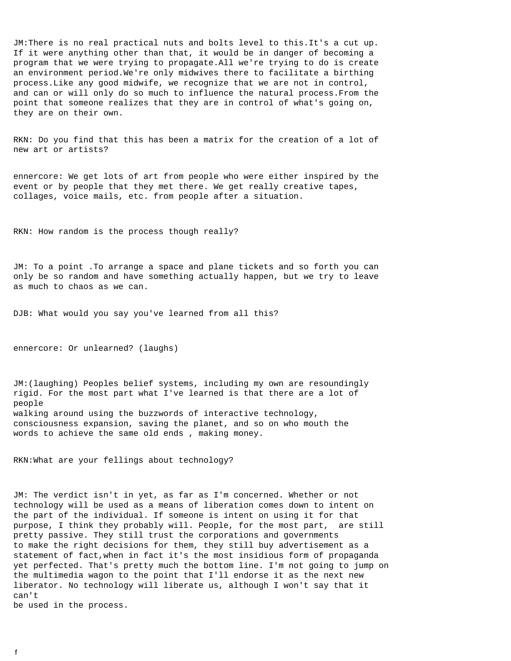JM:There is no real practical nuts and bolts level to this.It's a cut up. If it were anything other than that, it would be in danger of becoming a program that we were trying to propagate.All we're trying to do is create an environment period.We're only midwives there to facilitate a birthing process.Like any good midwife, we recognize that we are not in control, and can or will only do so much to influence the natural process.From the point that someone realizes that they are in control of what's going on, they are on their own.

 RKN: Do you find that this has been a matrix for the creation of a lot of new art or artists?

 ennercore: We get lots of art from people who were either inspired by the event or by people that they met there. We get really creative tapes, collages, voice mails, etc. from people after a situation.

RKN: How random is the process though really?

 JM: To a point .To arrange a space and plane tickets and so forth you can only be so random and have something actually happen, but we try to leave as much to chaos as we can.

DJB: What would you say you've learned from all this?

ennercore: Or unlearned? (laughs)

 JM:(laughing) Peoples belief systems, including my own are resoundingly rigid. For the most part what I've learned is that there are a lot of people walking around using the buzzwords of interactive technology, consciousness expansion, saving the planet, and so on who mouth the words to achieve the same old ends , making money.

RKN:What are your fellings about technology?

 JM: The verdict isn't in yet, as far as I'm concerned. Whether or not technology will be used as a means of liberation comes down to intent on the part of the individual. If someone is intent on using it for that purpose, I think they probably will. People, for the most part, are still pretty passive. They still trust the corporations and governments to make the right decisions for them, they still buy advertisement as a statement of fact,when in fact it's the most insidious form of propaganda yet perfected. That's pretty much the bottom line. I'm not going to jump on the multimedia wagon to the point that I'll endorse it as the next new liberator. No technology will liberate us, although I won't say that it can't be used in the process.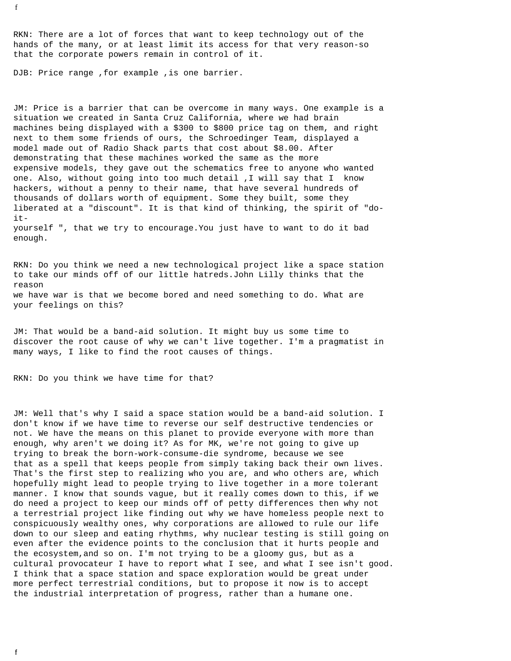RKN: There are a lot of forces that want to keep technology out of the hands of the many, or at least limit its access for that very reason-so that the corporate powers remain in control of it.

DJB: Price range , for example , is one barrier.

 JM: Price is a barrier that can be overcome in many ways. One example is a situation we created in Santa Cruz California, where we had brain machines being displayed with a \$300 to \$800 price tag on them, and right next to them some friends of ours, the Schroedinger Team, displayed a model made out of Radio Shack parts that cost about \$8.00. After demonstrating that these machines worked the same as the more expensive models, they gave out the schematics free to anyone who wanted one. Also, without going into too much detail ,I will say that I know hackers, without a penny to their name, that have several hundreds of thousands of dollars worth of equipment. Some they built, some they liberated at a "discount". It is that kind of thinking, the spirit of "do it yourself ", that we try to encourage.You just have to want to do it bad enough.

 RKN: Do you think we need a new technological project like a space station to take our minds off of our little hatreds.John Lilly thinks that the reason we have war is that we become bored and need something to do. What are your feelings on this?

 JM: That would be a band-aid solution. It might buy us some time to discover the root cause of why we can't live together. I'm a pragmatist in many ways, I like to find the root causes of things.

RKN: Do you think we have time for that?

 JM: Well that's why I said a space station would be a band-aid solution. I don't know if we have time to reverse our self destructive tendencies or not. We have the means on this planet to provide everyone with more than enough, why aren't we doing it? As for MK, we're not going to give up trying to break the born-work-consume-die syndrome, because we see that as a spell that keeps people from simply taking back their own lives. That's the first step to realizing who you are, and who others are, which hopefully might lead to people trying to live together in a more tolerant manner. I know that sounds vague, but it really comes down to this, if we do need a project to keep our minds off of petty differences then why not a terrestrial project like finding out why we have homeless people next to conspicuously wealthy ones, why corporations are allowed to rule our life down to our sleep and eating rhythms, why nuclear testing is still going on even after the evidence points to the conclusion that it hurts people and the ecosystem,and so on. I'm not trying to be a gloomy gus, but as a cultural provocateur I have to report what I see, and what I see isn't good. I think that a space station and space exploration would be great under more perfect terrestrial conditions, but to propose it now is to accept the industrial interpretation of progress, rather than a humane one.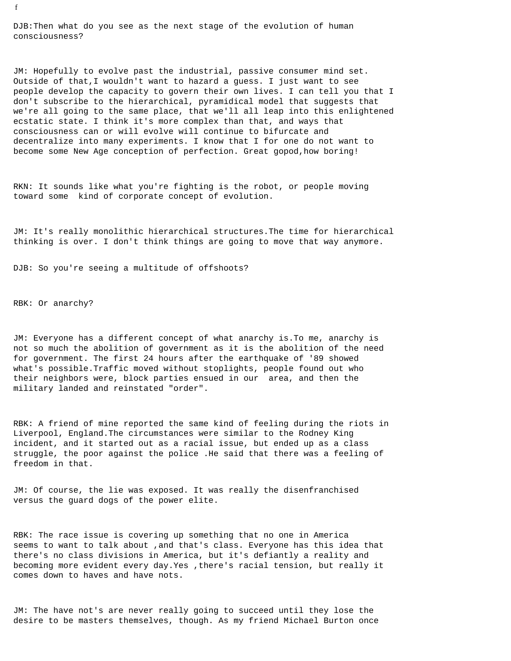DJB:Then what do you see as the next stage of the evolution of human consciousness?

 JM: Hopefully to evolve past the industrial, passive consumer mind set. Outside of that,I wouldn't want to hazard a guess. I just want to see people develop the capacity to govern their own lives. I can tell you that I don't subscribe to the hierarchical, pyramidical model that suggests that we're all going to the same place, that we'll all leap into this enlightened ecstatic state. I think it's more complex than that, and ways that consciousness can or will evolve will continue to bifurcate and decentralize into many experiments. I know that I for one do not want to become some New Age conception of perfection. Great gopod,how boring!

 RKN: It sounds like what you're fighting is the robot, or people moving toward some kind of corporate concept of evolution.

 JM: It's really monolithic hierarchical structures.The time for hierarchical thinking is over. I don't think things are going to move that way anymore.

DJB: So you're seeing a multitude of offshoots?

RBK: Or anarchy?

 JM: Everyone has a different concept of what anarchy is.To me, anarchy is not so much the abolition of government as it is the abolition of the need for government. The first 24 hours after the earthquake of '89 showed what's possible.Traffic moved without stoplights, people found out who their neighbors were, block parties ensued in our area, and then the military landed and reinstated "order".

 RBK: A friend of mine reported the same kind of feeling during the riots in Liverpool, England.The circumstances were similar to the Rodney King incident, and it started out as a racial issue, but ended up as a class struggle, the poor against the police .He said that there was a feeling of freedom in that.

 JM: Of course, the lie was exposed. It was really the disenfranchised versus the guard dogs of the power elite.

 RBK: The race issue is covering up something that no one in America seems to want to talk about ,and that's class. Everyone has this idea that there's no class divisions in America, but it's defiantly a reality and becoming more evident every day.Yes ,there's racial tension, but really it comes down to haves and have nots.

 JM: The have not's are never really going to succeed until they lose the desire to be masters themselves, though. As my friend Michael Burton once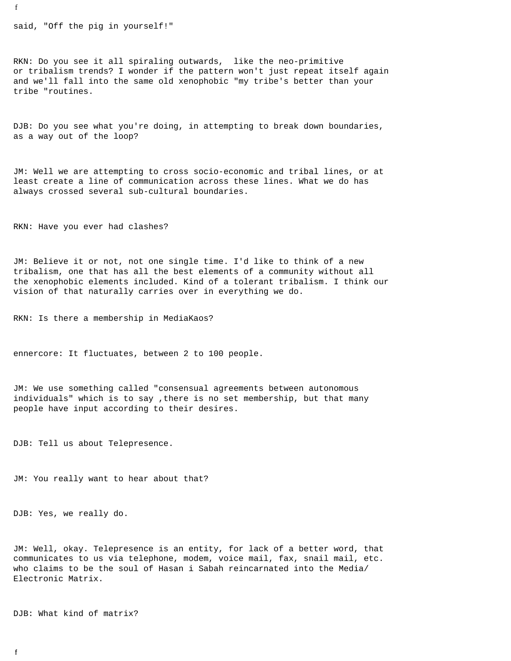said, "Off the pig in yourself!"

 RKN: Do you see it all spiraling outwards, like the neo-primitive or tribalism trends? I wonder if the pattern won't just repeat itself again and we'll fall into the same old xenophobic "my tribe's better than your tribe "routines.

 DJB: Do you see what you're doing, in attempting to break down boundaries, as a way out of the loop?

 JM: Well we are attempting to cross socio-economic and tribal lines, or at least create a line of communication across these lines. What we do has always crossed several sub-cultural boundaries.

RKN: Have you ever had clashes?

 JM: Believe it or not, not one single time. I'd like to think of a new tribalism, one that has all the best elements of a community without all the xenophobic elements included. Kind of a tolerant tribalism. I think our vision of that naturally carries over in everything we do.

RKN: Is there a membership in MediaKaos?

ennercore: It fluctuates, between 2 to 100 people.

 JM: We use something called "consensual agreements between autonomous individuals" which is to say ,there is no set membership, but that many people have input according to their desires.

DJB: Tell us about Telepresence.

JM: You really want to hear about that?

DJB: Yes, we really do.

 JM: Well, okay. Telepresence is an entity, for lack of a better word, that communicates to us via telephone, modem, voice mail, fax, snail mail, etc. who claims to be the soul of Hasan i Sabah reincarnated into the Media/ Electronic Matrix.

DJB: What kind of matrix?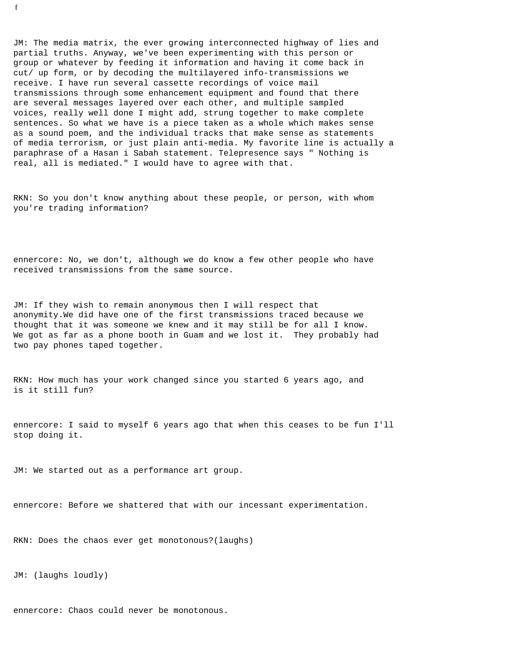JM: The media matrix, the ever growing interconnected highway of lies and partial truths. Anyway, we've been experimenting with this person or group or whatever by feeding it information and having it come back in cut/ up form, or by decoding the multilayered info-transmissions we receive. I have run several cassette recordings of voice mail transmissions through some enhancement equipment and found that there are several messages layered over each other, and multiple sampled voices, really well done I might add, strung together to make complete sentences. So what we have is a piece taken as a whole which makes sense as a sound poem, and the individual tracks that make sense as statements of media terrorism, or just plain anti-media. My favorite line is actually a paraphrase of a Hasan i Sabah statement. Telepresence says " Nothing is real, all is mediated." I would have to agree with that.

 RKN: So you don't know anything about these people, or person, with whom you're trading information?

 ennercore: No, we don't, although we do know a few other people who have received transmissions from the same source.

 JM: If they wish to remain anonymous then I will respect that anonymity.We did have one of the first transmissions traced because we thought that it was someone we knew and it may still be for all I know. We got as far as a phone booth in Guam and we lost it. They probably had two pay phones taped together.

 RKN: How much has your work changed since you started 6 years ago, and is it still fun?

 ennercore: I said to myself 6 years ago that when this ceases to be fun I'll stop doing it.

JM: We started out as a performance art group.

ennercore: Before we shattered that with our incessant experimentation.

RKN: Does the chaos ever get monotonous?(laughs)

JM: (laughs loudly)

ennercore: Chaos could never be monotonous.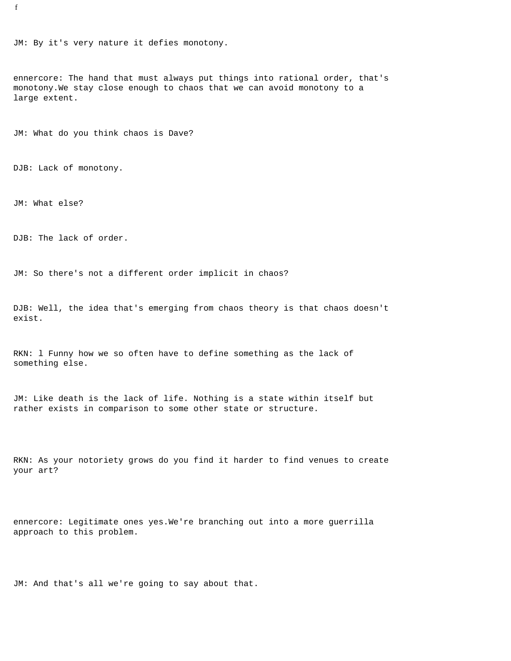JM: By it's very nature it defies monotony.

 ennercore: The hand that must always put things into rational order, that's monotony.We stay close enough to chaos that we can avoid monotony to a large extent.

JM: What do you think chaos is Dave?

DJB: Lack of monotony.

JM: What else?

DJB: The lack of order.

JM: So there's not a different order implicit in chaos?

 DJB: Well, the idea that's emerging from chaos theory is that chaos doesn't exist.

 RKN: l Funny how we so often have to define something as the lack of something else.

 JM: Like death is the lack of life. Nothing is a state within itself but rather exists in comparison to some other state or structure.

 RKN: As your notoriety grows do you find it harder to find venues to create your art?

 ennercore: Legitimate ones yes.We're branching out into a more guerrilla approach to this problem.

JM: And that's all we're going to say about that.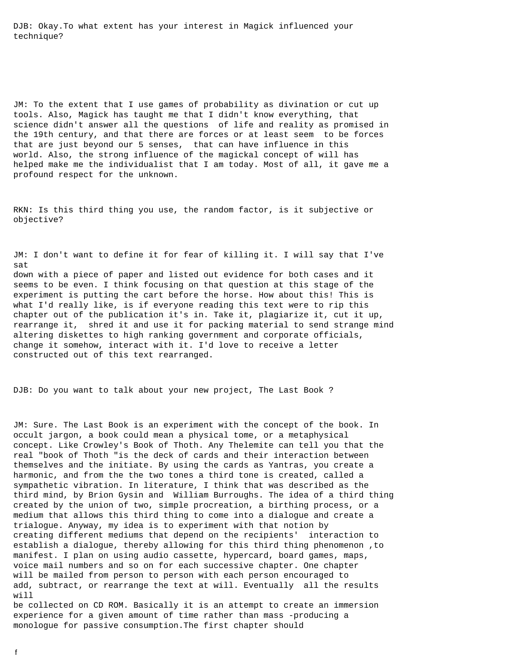DJB: Okay.To what extent has your interest in Magick influenced your technique?

 JM: To the extent that I use games of probability as divination or cut up tools. Also, Magick has taught me that I didn't know everything, that science didn't answer all the questions of life and reality as promised in the 19th century, and that there are forces or at least seem to be forces that are just beyond our 5 senses, that can have influence in this world. Also, the strong influence of the magickal concept of will has helped make me the individualist that I am today. Most of all, it gave me a profound respect for the unknown.

 RKN: Is this third thing you use, the random factor, is it subjective or objective?

 JM: I don't want to define it for fear of killing it. I will say that I've sat down with a piece of paper and listed out evidence for both cases and it seems to be even. I think focusing on that question at this stage of the experiment is putting the cart before the horse. How about this! This is what I'd really like, is if everyone reading this text were to rip this chapter out of the publication it's in. Take it, plagiarize it, cut it up, rearrange it, shred it and use it for packing material to send strange mind altering diskettes to high ranking government and corporate officials, change it somehow, interact with it. I'd love to receive a letter constructed out of this text rearranged.

DJB: Do you want to talk about your new project, The Last Book ?

 JM: Sure. The Last Book is an experiment with the concept of the book. In occult jargon, a book could mean a physical tome, or a metaphysical concept. Like Crowley's Book of Thoth. Any Thelemite can tell you that the real "book of Thoth "is the deck of cards and their interaction between themselves and the initiate. By using the cards as Yantras, you create a harmonic, and from the the two tones a third tone is created, called a sympathetic vibration. In literature, I think that was described as the third mind, by Brion Gysin and William Burroughs. The idea of a third thing created by the union of two, simple procreation, a birthing process, or a medium that allows this third thing to come into a dialogue and create a trialogue. Anyway, my idea is to experiment with that notion by creating different mediums that depend on the recipients' interaction to establish a dialogue, thereby allowing for this third thing phenomenon ,to manifest. I plan on using audio cassette, hypercard, board games, maps, voice mail numbers and so on for each successive chapter. One chapter will be mailed from person to person with each person encouraged to add, subtract, or rearrange the text at will. Eventually all the results will

 be collected on CD ROM. Basically it is an attempt to create an immersion experience for a given amount of time rather than mass -producing a monologue for passive consumption.The first chapter should